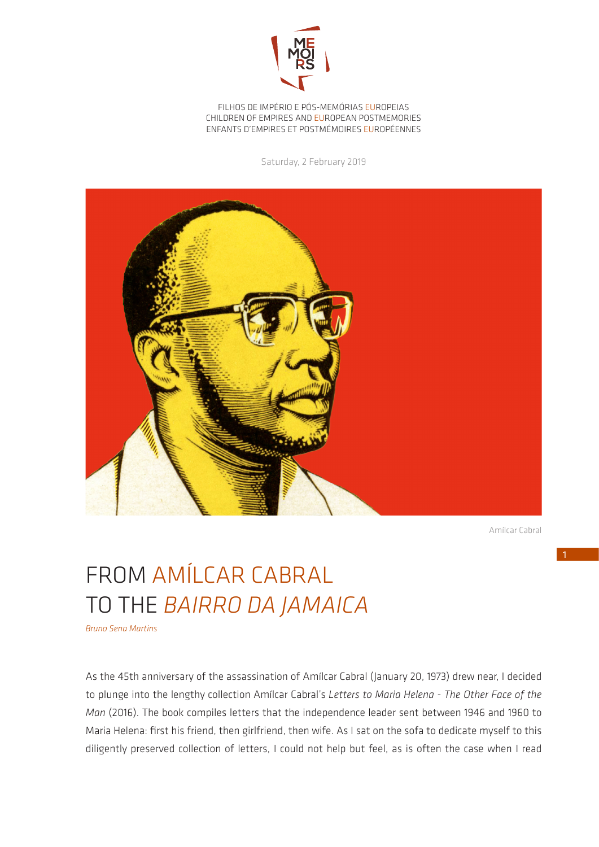

FILHOS DE IMPÉRIO E PÓS-MEMÓRIAS EUROPEIAS CHILDREN OF EMPIRES AND EUROPEAN POSTMEMORIES ENFANTS D'EMPIRES ET POSTMÉMOIRES EUROPÉENNES

Saturday, 2 February 2019



Amílcar Cabral

## FROM AMÍLCAR CABRAL TO THE *BAIRRO DA JAMAICA*

*Bruno Sena Martins*

As the 45th anniversary of the assassination of Amílcar Cabral (January 20, 1973) drew near, I decided to plunge into the lengthy collection Amílcar Cabral's *Letters to Maria Helena - The Other Face of the Man* (2016). The book compiles letters that the independence leader sent between 1946 and 1960 to Maria Helena: first his friend, then girlfriend, then wife. As I sat on the sofa to dedicate myself to this diligently preserved collection of letters, I could not help but feel, as is often the case when I read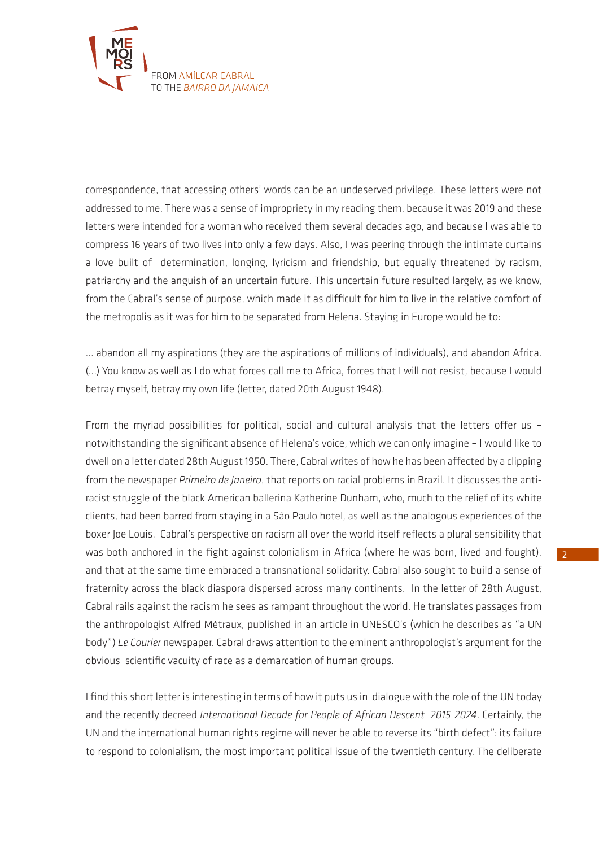

correspondence, that accessing others' words can be an undeserved privilege. These letters were not addressed to me. There was a sense of impropriety in my reading them, because it was 2019 and these letters were intended for a woman who received them several decades ago, and because I was able to compress 16 years of two lives into only a few days. Also, I was peering through the intimate curtains a love built of determination, longing, lyricism and friendship, but equally threatened by racism, patriarchy and the anguish of an uncertain future. This uncertain future resulted largely, as we know, from the Cabral's sense of purpose, which made it as difficult for him to live in the relative comfort of the metropolis as it was for him to be separated from Helena. Staying in Europe would be to:

... abandon all my aspirations (they are the aspirations of millions of individuals), and abandon Africa. (...) You know as well as I do what forces call me to Africa, forces that I will not resist, because I would betray myself, betray my own life (letter, dated 20th August 1948).

From the myriad possibilities for political, social and cultural analysis that the letters offer us – notwithstanding the significant absence of Helena's voice, which we can only imagine – I would like to dwell on a letter dated 28th August 1950. There, Cabral writes of how he has been affected by a clipping from the newspaper *Primeiro de Janeiro*, that reports on racial problems in Brazil. It discusses the antiracist struggle of the black American ballerina Katherine Dunham, who, much to the relief of its white clients, had been barred from staying in a São Paulo hotel, as well as the analogous experiences of the boxer Joe Louis. Cabral's perspective on racism all over the world itself reflects a plural sensibility that was both anchored in the fight against colonialism in Africa (where he was born, lived and fought), and that at the same time embraced a transnational solidarity. Cabral also sought to build a sense of fraternity across the black diaspora dispersed across many continents. In the letter of 28th August, Cabral rails against the racism he sees as rampant throughout the world. He translates passages from the anthropologist Alfred Métraux, published in an article in UNESCO's (which he describes as "a UN body") *Le Courier* newspaper. Cabral draws attention to the eminent anthropologist's argument for the obvious scientific vacuity of race as a demarcation of human groups.

I find this short letter is interesting in terms of how it puts us in dialogue with the role of the UN today and the recently decreed *International Decade for People of African Descent 2015-2024*. Certainly, the UN and the international human rights regime will never be able to reverse its "birth defect": its failure to respond to colonialism, the most important political issue of the twentieth century. The deliberate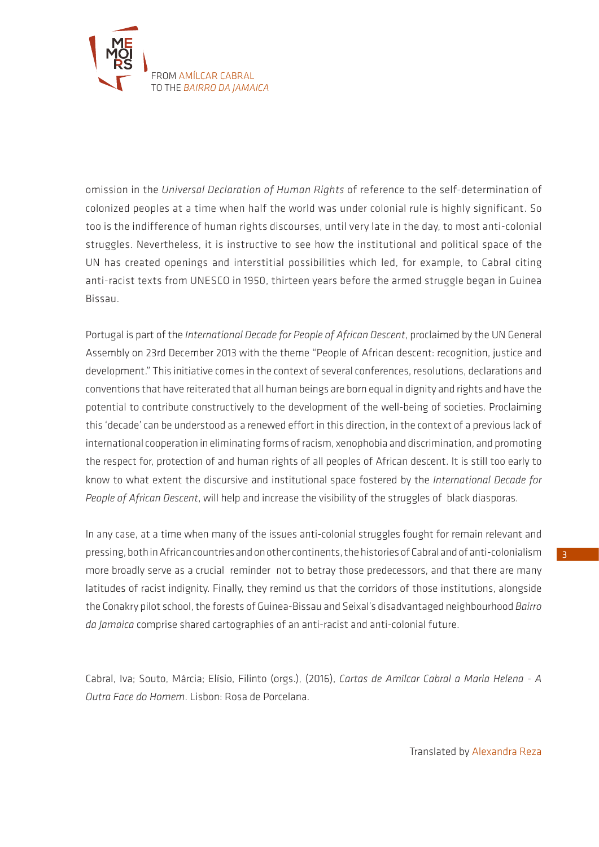

omission in the *Universal Declaration of Human Rights* of reference to the self-determination of colonized peoples at a time when half the world was under colonial rule is highly significant. So too is the indifference of human rights discourses, until very late in the day, to most anti-colonial struggles. Nevertheless, it is instructive to see how the institutional and political space of the UN has created openings and interstitial possibilities which led, for example, to Cabral citing anti-racist texts from UNESCO in 1950, thirteen years before the armed struggle began in Guinea Bissau.

Portugal is part of the *International Decade for People of African Descent*, proclaimed by the UN General Assembly on 23rd December 2013 with the theme "People of African descent: recognition, justice and development." This initiative comes in the context of several conferences, resolutions, declarations and conventions that have reiterated that all human beings are born equal in dignity and rights and have the potential to contribute constructively to the development of the well-being of societies. Proclaiming this 'decade' can be understood as a renewed effort in this direction, in the context of a previous lack of international cooperation in eliminating forms of racism, xenophobia and discrimination, and promoting the respect for, protection of and human rights of all peoples of African descent. It is still too early to know to what extent the discursive and institutional space fostered by the *International Decade for People of African Descent*, will help and increase the visibility of the struggles of black diasporas.

In any case, at a time when many of the issues anti-colonial struggles fought for remain relevant and pressing, both in African countries and on other continents, the histories of Cabral and of anti-colonialism more broadly serve as a crucial reminder not to betray those predecessors, and that there are many latitudes of racist indignity. Finally, they remind us that the corridors of those institutions, alongside the Conakry pilot school, the forests of Guinea-Bissau and Seixal's disadvantaged neighbourhood *Bairro da Jamaica* comprise shared cartographies of an anti-racist and anti-colonial future.

Cabral, Iva; Souto, Márcia; Elísio, Filinto (orgs.), (2016), *Cartas de Amílcar Cabral a Maria Helena - A Outra Face do Homem*. Lisbon: Rosa de Porcelana.

Translated by Alexandra Reza